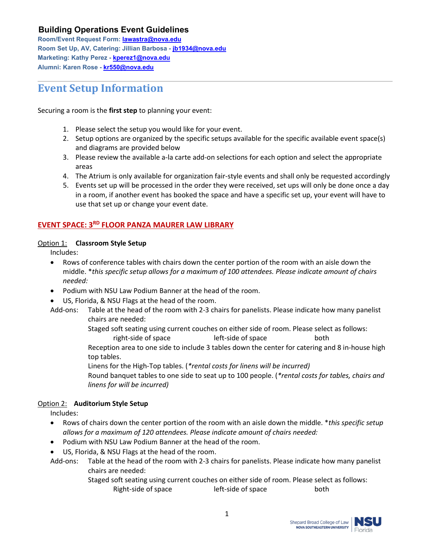**Room/Event Request Form: [lawastra@nova.edu](mailto:lawastra@nova.edu) Room Set Up, AV, Catering: Jillian Barbosa - [jb1934@nova.edu](mailto:jb1934@nova.edu) Marketing: Kathy Perez - [kperez1@nova.edu](mailto:kperez1@nova.edu) Alumni: Karen Rose - [kr550@nova.edu](mailto:kr550@nova.edu)**

# **Event Setup Information**

Securing a room is the **first step** to planning your event:

- 1. Please select the setup you would like for your event.
- 2. Setup options are organized by the specific setups available for the specific available event space(s) and diagrams are provided below
- 3. Please review the available a-la carte add-on selections for each option and select the appropriate areas
- 4. The Atrium is only available for organization fair-style events and shall only be requested accordingly
- 5. Events set up will be processed in the order they were received, set ups will only be done once a day in a room, if another event has booked the space and have a specific set up, your event will have to use that set up or change your event date.

### **EVENT SPACE: 3RD FLOOR PANZA MAURER LAW LIBRARY**

#### Option 1: **Classroom Style Setup**

Includes:

- Rows of conference tables with chairs down the center portion of the room with an aisle down the middle. \**this specific setup allows for a maximum of 100 attendees. Please indicate amount of chairs needed:*
- Podium with NSU Law Podium Banner at the head of the room.
- US, Florida, & NSU Flags at the head of the room.
- Add-ons: Table at the head of the room with 2-3 chairs for panelists. Please indicate how many panelist chairs are needed:
	- Staged soft seating using current couches on either side of room. Please select as follows:
	- right-side of space left-side of space both Reception area to one side to include 3 tables down the center for catering and 8 in-house high
	- top tables.
	- Linens for the High-Top tables. (*\*rental costs for linens will be incurred)*
	- Round banquet tables to one side to seat up to 100 people. (*\*rental costs for tables, chairs and linens for will be incurred)*

#### Option 2: **Auditorium Style Setup**

Includes:

- Rows of chairs down the center portion of the room with an aisle down the middle. \**this specific setup allows for a maximum of 120 attendees. Please indicate amount of chairs needed:*
- Podium with NSU Law Podium Banner at the head of the room.
- US, Florida, & NSU Flags at the head of the room.
- Add-ons: Table at the head of the room with 2-3 chairs for panelists. Please indicate how many panelist chairs are needed:
	- Staged soft seating using current couches on either side of room. Please select as follows: Right-side of space left-side of space both

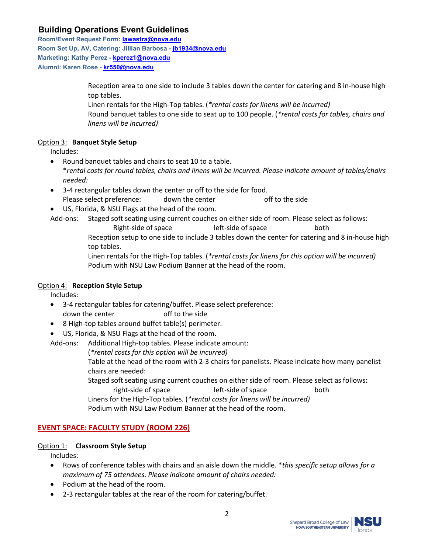**Room/Event Request Form: [lawastra@nova.edu](mailto:lawastra@nova.edu) Room Set Up, AV, Catering: Jillian Barbosa - [jb1934@nova.edu](mailto:jb1934@nova.edu) Marketing: Kathy Perez - [kperez1@nova.edu](mailto:kperez1@nova.edu) Alumni: Karen Rose - [kr550@nova.edu](mailto:kr550@nova.edu)**

> Reception area to one side to include 3 tables down the center for catering and 8 in-house high top tables.

Linen rentals for the High-Top tables. (*\*rental costs for linens will be incurred)*

Round banquet tables to one side to seat up to 100 people. (*\*rental costs for tables, chairs and linens will be incurred)*

#### Option 3: **Banquet Style Setup**

Includes:

- Round banquet tables and chairs to seat 10 to a table. \**rental costs for round tables, chairs and linens will be incurred. Please indicate amount of tables/chairs needed:*
- 3-4 rectangular tables down the center or off to the side for food. Please select preference: down the center off to the side
- US, Florida, & NSU Flags at the head of the room.

Add-ons: Staged soft seating using current couches on either side of room. Please select as follows:

Right-side of space left-side of space both

Reception setup to one side to include 3 tables down the center for catering and 8 in-house high top tables.

Linen rentals for the High-Top tables. (*\*rental costs for linens for this option will be incurred)* Podium with NSU Law Podium Banner at the head of the room.

#### Option 4: **Reception Style Setup**

Includes:

- 3-4 rectangular tables for catering/buffet. Please select preference: down the center off to the side
- 8 High-top tables around buffet table(s) perimeter.
- US, Florida, & NSU Flags at the head of the room.

Add-ons: Additional High-top tables. Please indicate amount:

(*\*rental costs for this option will be incurred)*

Table at the head of the room with 2-3 chairs for panelists. Please indicate how many panelist chairs are needed:

Staged soft seating using current couches on either side of room. Please select as follows: right-side of space left-side of space both

Linens for the High-Top tables. (*\*rental costs for linens will be incurred)*

Podium with NSU Law Podium Banner at the head of the room.

## **EVENT SPACE: FACULTY STUDY (ROOM 226)**

#### Option 1: **Classroom Style Setup**

Includes:

- Rows of conference tables with chairs and an aisle down the middle. \**this specific setup allows for a maximum of 75 attendees. Please indicate amount of chairs needed:*
- Podium at the head of the room.
- 2-3 rectangular tables at the rear of the room for catering/buffet.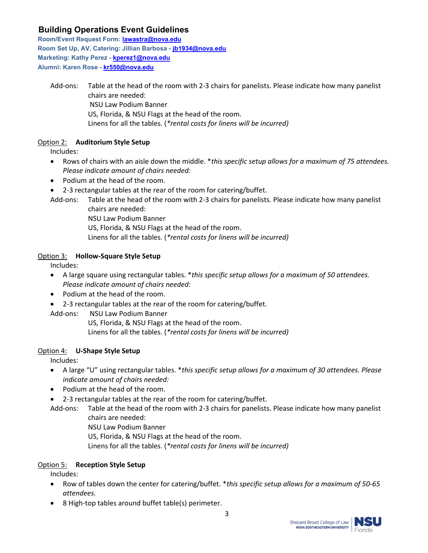**Room/Event Request Form: [lawastra@nova.edu](mailto:lawastra@nova.edu) Room Set Up, AV, Catering: Jillian Barbosa - [jb1934@nova.edu](mailto:jb1934@nova.edu) Marketing: Kathy Perez - [kperez1@nova.edu](mailto:kperez1@nova.edu) Alumni: Karen Rose - [kr550@nova.edu](mailto:kr550@nova.edu)**

Add-ons: Table at the head of the room with 2-3 chairs for panelists. Please indicate how many panelist chairs are needed: NSU Law Podium Banner US, Florida, & NSU Flags at the head of the room. Linens for all the tables. (*\*rental costs for linens will be incurred)*

#### Option 2: **Auditorium Style Setup**

Includes:

- Rows of chairs with an aisle down the middle. \**this specific setup allows for a maximum of 75 attendees. Please indicate amount of chairs needed:*
- Podium at the head of the room.
- 2-3 rectangular tables at the rear of the room for catering/buffet.
- Add-ons: Table at the head of the room with 2-3 chairs for panelists. Please indicate how many panelist chairs are needed:
	- NSU Law Podium Banner

US, Florida, & NSU Flags at the head of the room.

Linens for all the tables. (*\*rental costs for linens will be incurred)*

#### Option 3: **Hollow-Square Style Setup**

Includes:

- A large square using rectangular tables. \**this specific setup allows for a maximum of 50 attendees. Please indicate amount of chairs needed:*
- Podium at the head of the room.
- 2-3 rectangular tables at the rear of the room for catering/buffet.

#### Add-ons: NSU Law Podium Banner

US, Florida, & NSU Flags at the head of the room. Linens for all the tables. (*\*rental costs for linens will be incurred)*

#### Option 4: **U-Shape Style Setup**

Includes:

- A large "U" using rectangular tables. \**this specific setup allows for a maximum of 30 attendees. Please indicate amount of chairs needed:*
- Podium at the head of the room.
- 2-3 rectangular tables at the rear of the room for catering/buffet.

NSU Law Podium Banner

US, Florida, & NSU Flags at the head of the room.

Linens for all the tables. (*\*rental costs for linens will be incurred)*

#### Option 5: **Reception Style Setup**

Includes:

- Row of tables down the center for catering/buffet. \**this specific setup allows for a maximum of 50-65 attendees.*
- 8 High-top tables around buffet table(s) perimeter.

Add-ons: Table at the head of the room with 2-3 chairs for panelists. Please indicate how many panelist chairs are needed: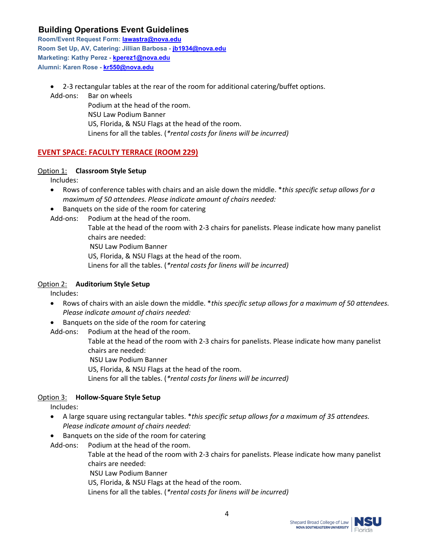**Room/Event Request Form: [lawastra@nova.edu](mailto:lawastra@nova.edu) Room Set Up, AV, Catering: Jillian Barbosa - [jb1934@nova.edu](mailto:jb1934@nova.edu) Marketing: Kathy Perez - [kperez1@nova.edu](mailto:kperez1@nova.edu) Alumni: Karen Rose - [kr550@nova.edu](mailto:kr550@nova.edu)**

• 2-3 rectangular tables at the rear of the room for additional catering/buffet options.

Add-ons: Bar on wheels Podium at the head of the room. NSU Law Podium Banner US, Florida, & NSU Flags at the head of the room. Linens for all the tables. (*\*rental costs for linens will be incurred)*

#### **EVENT SPACE: FACULTY TERRACE (ROOM 229)**

#### Option 1: **Classroom Style Setup**

Includes:

- Rows of conference tables with chairs and an aisle down the middle. \**this specific setup allows for a maximum of 50 attendees. Please indicate amount of chairs needed:*
- Banquets on the side of the room for catering
- Add-ons: Podium at the head of the room.

Table at the head of the room with 2-3 chairs for panelists. Please indicate how many panelist chairs are needed: NSU Law Podium Banner

- US, Florida, & NSU Flags at the head of the room.
- Linens for all the tables. (*\*rental costs for linens will be incurred)*

#### Option 2: **Auditorium Style Setup**

Includes:

- Rows of chairs with an aisle down the middle. \**this specific setup allows for a maximum of 50 attendees. Please indicate amount of chairs needed:*
- Banquets on the side of the room for catering

Add-ons: Podium at the head of the room.

Table at the head of the room with 2-3 chairs for panelists. Please indicate how many panelist chairs are needed:

NSU Law Podium Banner

US, Florida, & NSU Flags at the head of the room.

Linens for all the tables. (*\*rental costs for linens will be incurred)*

#### Option 3: **Hollow-Square Style Setup**

Includes:

- A large square using rectangular tables. \**this specific setup allows for a maximum of 35 attendees. Please indicate amount of chairs needed:*
- Banquets on the side of the room for catering

Add-ons: Podium at the head of the room.

Table at the head of the room with 2-3 chairs for panelists. Please indicate how many panelist chairs are needed:

NSU Law Podium Banner

US, Florida, & NSU Flags at the head of the room.

Linens for all the tables. (*\*rental costs for linens will be incurred)*

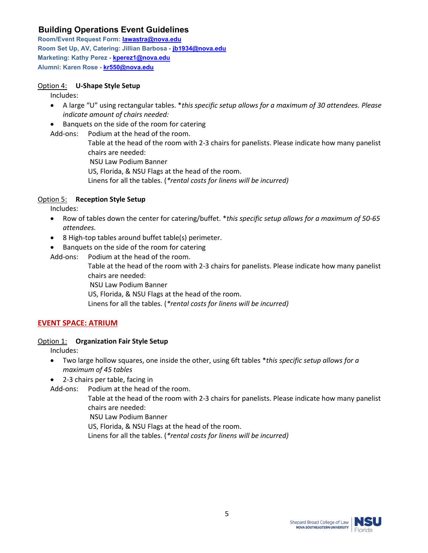**Room/Event Request Form: [lawastra@nova.edu](mailto:lawastra@nova.edu) Room Set Up, AV, Catering: Jillian Barbosa - [jb1934@nova.edu](mailto:jb1934@nova.edu) Marketing: Kathy Perez - [kperez1@nova.edu](mailto:kperez1@nova.edu) Alumni: Karen Rose - [kr550@nova.edu](mailto:kr550@nova.edu)**

#### Option 4: **U-Shape Style Setup**

Includes:

- A large "U" using rectangular tables. \**this specific setup allows for a maximum of 30 attendees. Please indicate amount of chairs needed:*
- Banquets on the side of the room for catering

Add-ons: Podium at the head of the room.

Table at the head of the room with 2-3 chairs for panelists. Please indicate how many panelist chairs are needed:

NSU Law Podium Banner

US, Florida, & NSU Flags at the head of the room.

Linens for all the tables. (*\*rental costs for linens will be incurred)*

#### Option 5: **Reception Style Setup**

Includes:

- Row of tables down the center for catering/buffet. \**this specific setup allows for a maximum of 50-65 attendees.*
- 8 High-top tables around buffet table(s) perimeter.
- Banquets on the side of the room for catering
- Add-ons: Podium at the head of the room.

Table at the head of the room with 2-3 chairs for panelists. Please indicate how many panelist chairs are needed:

NSU Law Podium Banner

US, Florida, & NSU Flags at the head of the room.

Linens for all the tables. (*\*rental costs for linens will be incurred)*

#### **EVENT SPACE: ATRIUM**

#### Option 1: **Organization Fair Style Setup**

Includes:

- Two large hollow squares, one inside the other, using 6ft tables \**this specific setup allows for a maximum of 45 tables*
- 2-3 chairs per table, facing in

Add-ons: Podium at the head of the room.

Table at the head of the room with 2-3 chairs for panelists. Please indicate how many panelist chairs are needed:

NSU Law Podium Banner

US, Florida, & NSU Flags at the head of the room.

Linens for all the tables. (*\*rental costs for linens will be incurred)*

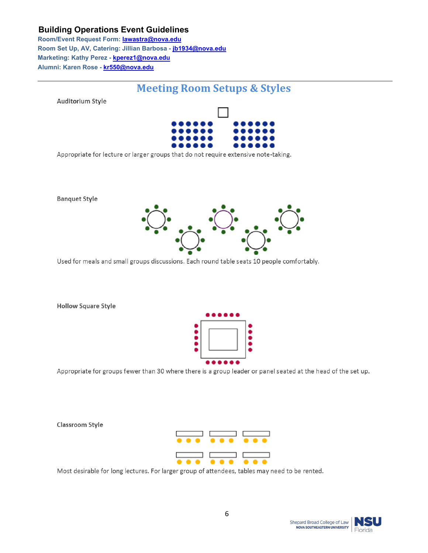**Room/Event Request Form: [lawastra@nova.edu](mailto:lawastra@nova.edu) Room Set Up, AV, Catering: Jillian Barbosa - [jb1934@nova.edu](mailto:jb1934@nova.edu) Marketing: Kathy Perez - [kperez1@nova.edu](mailto:kperez1@nova.edu) Alumni: Karen Rose - [kr550@nova.edu](mailto:kr550@nova.edu)**

## **Meeting Room Setups & Styles**

**Auditorium Style** 

**Banquet Style** 



Appropriate for lecture or larger groups that do not require extensive note-taking.



Used for meals and small groups discussions. Each round table seats 10 people comfortably.

**Hollow Square Style** 



Appropriate for groups fewer than 30 where there is a group leader or panel seated at the head of the set up.

**Classroom Style** 

Most desirable for long lectures. For larger group of attendees, tables may need to be rented.

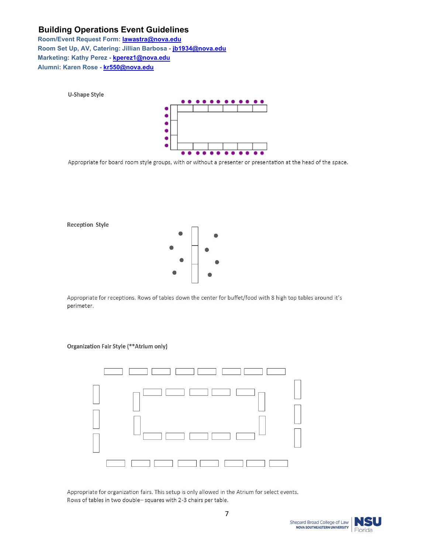**U-Shape Style** 

**Room/Event Request Form: [lawastra@nova.edu](mailto:lawastra@nova.edu) Room Set Up, AV, Catering: Jillian Barbosa - [jb1934@nova.edu](mailto:jb1934@nova.edu) Marketing: Kathy Perez - [kperez1@nova.edu](mailto:kperez1@nova.edu) Alumni: Karen Rose - [kr550@nova.edu](mailto:kr550@nova.edu)**



Appropriate for board room style groups, with or without a presenter or presentation at the head of the space.



Appropriate for receptions. Rows of tables down the center for buffet/food with 8 high top tables around it's perimeter.

#### Organization Fair Style (\*\*Atrium only)



Appropriate for organization fairs. This setup is only allowed in the Atrium for select events. Rows of tables in two double-squares with 2-3 chairs per table.

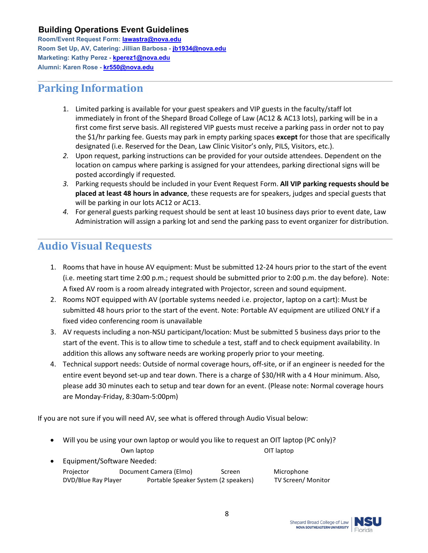**Room/Event Request Form: [lawastra@nova.edu](mailto:lawastra@nova.edu) Room Set Up, AV, Catering: Jillian Barbosa - [jb1934@nova.edu](mailto:jb1934@nova.edu) Marketing: Kathy Perez - [kperez1@nova.edu](mailto:kperez1@nova.edu) Alumni: Karen Rose - [kr550@nova.edu](mailto:kr550@nova.edu)**

# **Parking Information**

- 1. Limited parking is available for your guest speakers and VIP guests in the faculty/staff lot immediately in front of the Shepard Broad College of Law (AC12 & AC13 lots), parking will be in a first come first serve basis. All registered VIP guests must receive a parking pass in order not to pay the \$1/hr parking fee. Guests may park in empty parking spaces **except** for those that are specifically designated (i.e. Reserved for the Dean, Law Clinic Visitor's only, PILS, Visitors, etc.).
- *2.* Upon request, parking instructions can be provided for your outside attendees. Dependent on the location on campus where parking is assigned for your attendees, parking directional signs will be posted accordingly if requested*.*
- *3.* Parking requests should be included in your Event Request Form. **All VIP parking requests should be placed at least 48 hours in advance**, these requests are for speakers, judges and special guests that will be parking in our lots AC12 or AC13.
- *4.* For general guests parking request should be sent at least 10 business days prior to event date, Law Administration will assign a parking lot and send the parking pass to event organizer for distribution.

# **Audio Visual Requests**

- 1. Rooms that have in house AV equipment: Must be submitted 12-24 hours prior to the start of the event (i.e. meeting start time 2:00 p.m.; request should be submitted prior to 2:00 p.m. the day before). Note: A fixed AV room is a room already integrated with Projector, screen and sound equipment.
- 2. Rooms NOT equipped with AV (portable systems needed i.e. projector, laptop on a cart): Must be submitted 48 hours prior to the start of the event. Note: Portable AV equipment are utilized ONLY if a fixed video conferencing room is unavailable
- 3. AV requests including a non-NSU participant/location: Must be submitted 5 business days prior to the start of the event. This is to allow time to schedule a test, staff and to check equipment availability. In addition this allows any software needs are working properly prior to your meeting.
- 4. Technical support needs: Outside of normal coverage hours, off-site, or if an engineer is needed for the entire event beyond set-up and tear down. There is a charge of \$30/HR with a 4 Hour minimum. Also, please add 30 minutes each to setup and tear down for an event. (Please note: Normal coverage hours are Monday-Friday, 8:30am-5:00pm)

If you are not sure if you will need AV, see what is offered through Audio Visual below:

- Will you be using your own laptop or would you like to request an OIT laptop (PC only)? Own laptop **OIT** laptop
- Equipment/Software Needed: Projector Document Camera (Elmo) Screen Microphone DVD/Blue Ray Player Portable Speaker System (2 speakers) TV Screen/ Monitor

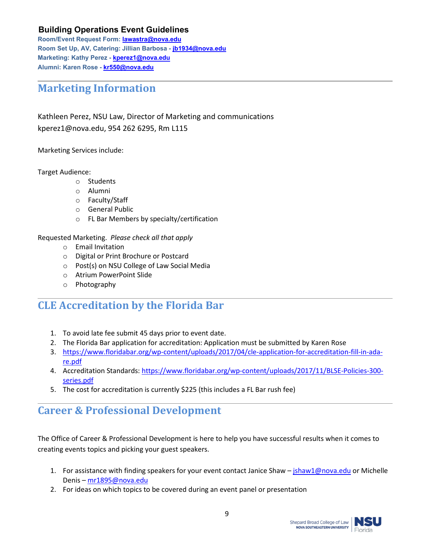**Room/Event Request Form: [lawastra@nova.edu](mailto:lawastra@nova.edu) Room Set Up, AV, Catering: Jillian Barbosa - [jb1934@nova.edu](mailto:jb1934@nova.edu) Marketing: Kathy Perez - [kperez1@nova.edu](mailto:kperez1@nova.edu) Alumni: Karen Rose - [kr550@nova.edu](mailto:kr550@nova.edu)**

## **Marketing Information**

Kathleen Perez, NSU Law, Director of Marketing and communications kperez1@nova.edu, 954 262 6295, Rm L115

Marketing Services include:

Target Audience:

- o Students
- o Alumni
- o Faculty/Staff
- o General Public
- o FL Bar Members by specialty/certification

#### Requested Marketing. *Please check all that apply*

- o Email Invitation
- o Digital or Print Brochure or Postcard
- o Post(s) on NSU College of Law Social Media
- o Atrium PowerPoint Slide
- o Photography

## **CLE Accreditation by the Florida Bar**

- 1. To avoid late fee submit 45 days prior to event date.
- 2. The Florida Bar application for accreditation: Application must be submitted by Karen Rose
- 3. [https://www.floridabar.org/wp-content/uploads/2017/04/cle-application-for-accreditation-fill-in-ada](https://www.floridabar.org/wp-content/uploads/2017/04/cle-application-for-accreditation-fill-in-ada-re.pdf)[re.pdf](https://www.floridabar.org/wp-content/uploads/2017/04/cle-application-for-accreditation-fill-in-ada-re.pdf)
- 4. Accreditation Standards[: https://www.floridabar.org/wp-content/uploads/2017/11/BLSE-Policies-300](https://www.floridabar.org/wp-content/uploads/2017/11/BLSE-Policies-300-series.pdf) [series.pdf](https://www.floridabar.org/wp-content/uploads/2017/11/BLSE-Policies-300-series.pdf)
- 5. The cost for accreditation is currently \$225 (this includes a FL Bar rush fee)

## **Career & Professional Development**

The Office of Career & Professional Development is here to help you have successful results when it comes to creating events topics and picking your guest speakers.

- 1. For assistance with finding speakers for your event contact Janice Shaw [jshaw1@nova.edu](mailto:jshaw1@nova.edu) or Michelle Denis – [mr1895@nova.edu](mailto:mr1895@nova.edu)
- 2. For ideas on which topics to be covered during an event panel or presentation